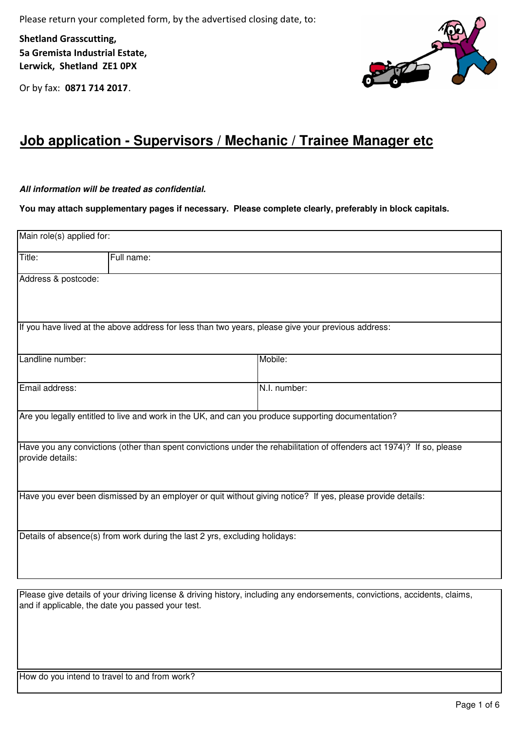Please return your completed form, by the advertised closing date, to:

Shetland Grasscutting, 5a Gremista Industrial Estate, Lerwick, Shetland ZE1 0PX

Or by fax: 0871 714 2017.



## **Job application - Supervisors / Mechanic / Trainee Manager etc**

## **All information will be treated as confidential.**

**You may attach supplementary pages if necessary. Please complete clearly, preferably in block capitals.**

| Main role(s) applied for: |                                                                                                    |                                                                                                                       |  |  |  |  |
|---------------------------|----------------------------------------------------------------------------------------------------|-----------------------------------------------------------------------------------------------------------------------|--|--|--|--|
| Title:                    | Full name:                                                                                         |                                                                                                                       |  |  |  |  |
| Address & postcode:       |                                                                                                    |                                                                                                                       |  |  |  |  |
|                           | If you have lived at the above address for less than two years, please give your previous address: |                                                                                                                       |  |  |  |  |
| Landline number:          |                                                                                                    | Mobile:                                                                                                               |  |  |  |  |
| Email address:            |                                                                                                    | N.I. number:                                                                                                          |  |  |  |  |
|                           | Are you legally entitled to live and work in the UK, and can you produce supporting documentation? |                                                                                                                       |  |  |  |  |
| provide details:          |                                                                                                    | Have you any convictions (other than spent convictions under the rehabilitation of offenders act 1974)? If so, please |  |  |  |  |
|                           |                                                                                                    | Have you ever been dismissed by an employer or quit without giving notice? If yes, please provide details:            |  |  |  |  |
|                           | Details of absence(s) from work during the last 2 yrs, excluding holidays:                         |                                                                                                                       |  |  |  |  |

Please give details of your driving license & driving history, including any endorsements, convictions, accidents, claims, and if applicable, the date you passed your test.

How do you intend to travel to and from work?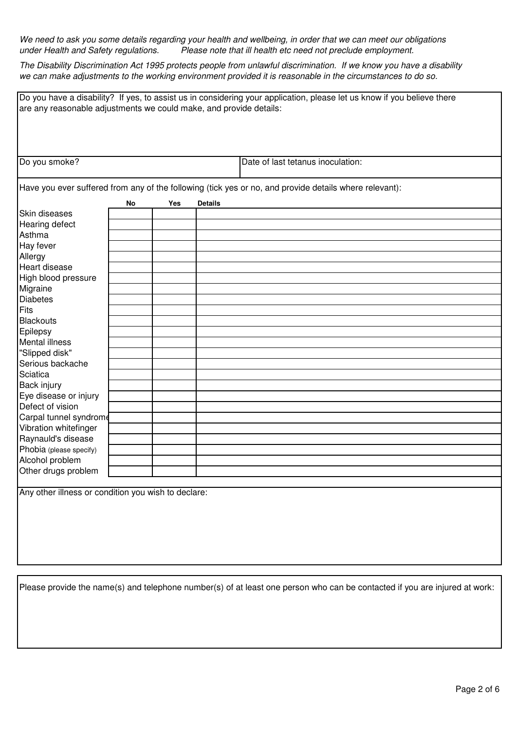We need to ask you some details regarding your health and wellbeing, in order that we can meet our obligations under Health and Safety regulations. Please note that ill health etc need not preclude employment.

The Disability Discrimination Act 1995 protects people from unlawful discrimination. If we know you have a disability we can make adjustments to the working environment provided it is reasonable in the circumstances to do so.

| Do you have a disability? If yes, to assist us in considering your application, please let us know if you believe there |    |     |                |                                   |  |  |
|-------------------------------------------------------------------------------------------------------------------------|----|-----|----------------|-----------------------------------|--|--|
| are any reasonable adjustments we could make, and provide details:                                                      |    |     |                |                                   |  |  |
|                                                                                                                         |    |     |                |                                   |  |  |
|                                                                                                                         |    |     |                |                                   |  |  |
|                                                                                                                         |    |     |                |                                   |  |  |
|                                                                                                                         |    |     |                |                                   |  |  |
| Do you smoke?                                                                                                           |    |     |                | Date of last tetanus inoculation: |  |  |
|                                                                                                                         |    |     |                |                                   |  |  |
| Have you ever suffered from any of the following (tick yes or no, and provide details where relevant):                  |    |     |                |                                   |  |  |
|                                                                                                                         |    |     |                |                                   |  |  |
|                                                                                                                         | No | Yes | <b>Details</b> |                                   |  |  |
| Skin diseases                                                                                                           |    |     |                |                                   |  |  |
| <b>Hearing defect</b>                                                                                                   |    |     |                |                                   |  |  |
| Asthma                                                                                                                  |    |     |                |                                   |  |  |
| Hay fever                                                                                                               |    |     |                |                                   |  |  |
| Allergy                                                                                                                 |    |     |                |                                   |  |  |
| Heart disease                                                                                                           |    |     |                |                                   |  |  |
| High blood pressure                                                                                                     |    |     |                |                                   |  |  |
| Migraine                                                                                                                |    |     |                |                                   |  |  |
| <b>Diabetes</b>                                                                                                         |    |     |                |                                   |  |  |
| Fits                                                                                                                    |    |     |                |                                   |  |  |
| Blackouts                                                                                                               |    |     |                |                                   |  |  |
| Epilepsy                                                                                                                |    |     |                |                                   |  |  |
| <b>Mental illness</b>                                                                                                   |    |     |                |                                   |  |  |
| "Slipped disk"                                                                                                          |    |     |                |                                   |  |  |
| Serious backache                                                                                                        |    |     |                |                                   |  |  |
| Sciatica                                                                                                                |    |     |                |                                   |  |  |
| Back injury                                                                                                             |    |     |                |                                   |  |  |
| Eye disease or injury                                                                                                   |    |     |                |                                   |  |  |
| Defect of vision                                                                                                        |    |     |                |                                   |  |  |
| Carpal tunnel syndrome                                                                                                  |    |     |                |                                   |  |  |
| Vibration whitefinger                                                                                                   |    |     |                |                                   |  |  |
| Raynauld's disease                                                                                                      |    |     |                |                                   |  |  |
| Phobia (please specify)                                                                                                 |    |     |                |                                   |  |  |
| Alcohol problem                                                                                                         |    |     |                |                                   |  |  |
| Other drugs problem                                                                                                     |    |     |                |                                   |  |  |
|                                                                                                                         |    |     |                |                                   |  |  |
| Any other illness or condition you wish to declare:                                                                     |    |     |                |                                   |  |  |
|                                                                                                                         |    |     |                |                                   |  |  |
|                                                                                                                         |    |     |                |                                   |  |  |
|                                                                                                                         |    |     |                |                                   |  |  |
|                                                                                                                         |    |     |                |                                   |  |  |
|                                                                                                                         |    |     |                |                                   |  |  |

Please provide the name(s) and telephone number(s) of at least one person who can be contacted if you are injured at work: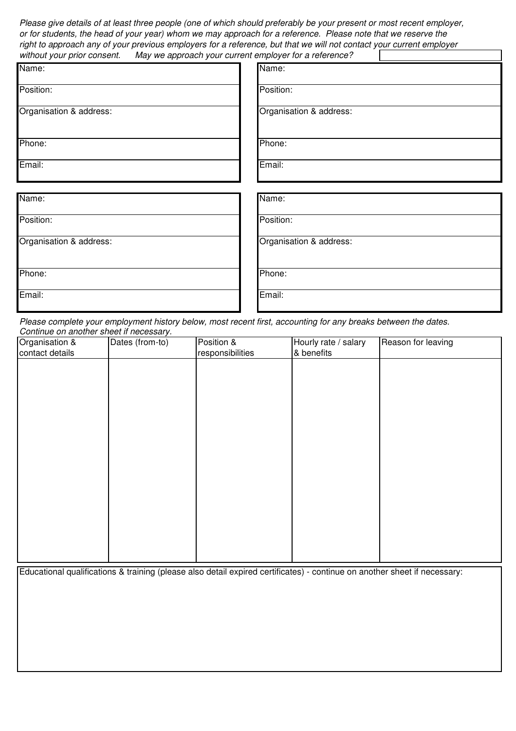Please give details of at least three people (one of which should preferably be your present or most recent employer, or for students, the head of your year) whom we may approach for a reference. Please note that we reserve the right to approach any of your previous employers for a reference, but that we will not contact your current employer without your prior consent. May we approach your current employer for a reference?

| . .                     |                         |
|-------------------------|-------------------------|
| Name:                   | Name:                   |
| Position:               | Position:               |
| Organisation & address: | Organisation & address: |
| Phone:                  | Phone:                  |
| Email:                  | Email:                  |
|                         |                         |
| Name:                   | Name:                   |
| Position:               | Position:               |
| Organisation & address: | Organisation & address: |
| Phone:                  | Phone:                  |
| Email:                  | Email:                  |

Please complete your employment history below, most recent first, accounting for any breaks between the dates. Continue on another sheet if necessary.

| Organisation &  | Dates (from-to) | Position &       | Hourly rate / salary | Reason for leaving |
|-----------------|-----------------|------------------|----------------------|--------------------|
| contact details |                 | responsibilities | & benefits           |                    |
|                 |                 |                  |                      |                    |
|                 |                 |                  |                      |                    |
|                 |                 |                  |                      |                    |
|                 |                 |                  |                      |                    |
|                 |                 |                  |                      |                    |
|                 |                 |                  |                      |                    |
|                 |                 |                  |                      |                    |
|                 |                 |                  |                      |                    |
|                 |                 |                  |                      |                    |
|                 |                 |                  |                      |                    |
|                 |                 |                  |                      |                    |
|                 |                 |                  |                      |                    |
|                 |                 |                  |                      |                    |
|                 |                 |                  |                      |                    |
|                 |                 |                  |                      |                    |
|                 |                 |                  |                      |                    |
|                 |                 |                  |                      |                    |
|                 |                 |                  |                      |                    |

Educational qualifications & training (please also detail expired certificates) - continue on another sheet if necessary: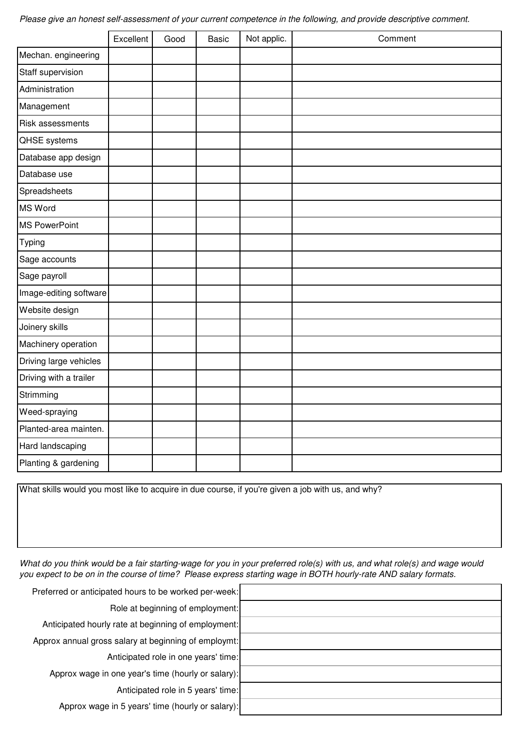Please give an honest self-assessment of your current competence in the following, and provide descriptive comment.

|                         | Excellent | Good | <b>Basic</b> | Not applic. | Comment |
|-------------------------|-----------|------|--------------|-------------|---------|
| Mechan. engineering     |           |      |              |             |         |
| Staff supervision       |           |      |              |             |         |
| Administration          |           |      |              |             |         |
| Management              |           |      |              |             |         |
| <b>Risk assessments</b> |           |      |              |             |         |
| <b>QHSE</b> systems     |           |      |              |             |         |
| Database app design     |           |      |              |             |         |
| Database use            |           |      |              |             |         |
| Spreadsheets            |           |      |              |             |         |
| <b>MS Word</b>          |           |      |              |             |         |
| <b>MS PowerPoint</b>    |           |      |              |             |         |
| Typing                  |           |      |              |             |         |
| Sage accounts           |           |      |              |             |         |
| Sage payroll            |           |      |              |             |         |
| Image-editing software  |           |      |              |             |         |
| Website design          |           |      |              |             |         |
| Joinery skills          |           |      |              |             |         |
| Machinery operation     |           |      |              |             |         |
| Driving large vehicles  |           |      |              |             |         |
| Driving with a trailer  |           |      |              |             |         |
| Strimming               |           |      |              |             |         |
| Weed-spraying           |           |      |              |             |         |
| Planted-area mainten.   |           |      |              |             |         |
| Hard landscaping        |           |      |              |             |         |
| Planting & gardening    |           |      |              |             |         |

What skills would you most like to acquire in due course, if you're given a job with us, and why?

What do you think would be a fair starting-wage for you in your preferred role(s) with us, and what role(s) and wage would you expect to be on in the course of time? Please express starting wage in BOTH hourly-rate AND salary formats.

| Preferred or anticipated hours to be worked per-week: |  |
|-------------------------------------------------------|--|
| Role at beginning of employment:                      |  |
| Anticipated hourly rate at beginning of employment:   |  |
| Approx annual gross salary at beginning of employmt:  |  |
| Anticipated role in one years' time:                  |  |
| Approx wage in one year's time (hourly or salary):    |  |
| Anticipated role in 5 years' time:                    |  |
| Approx wage in 5 years' time (hourly or salary):      |  |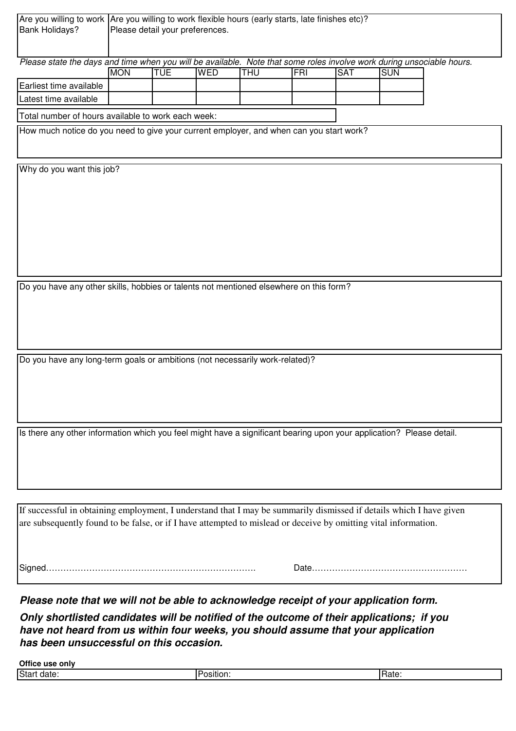| Are you willing to work Are you willing to work flexible hours (early starts, late finishes etc)?                     |                                                    |            |            |            |            |            |            |  |  |
|-----------------------------------------------------------------------------------------------------------------------|----------------------------------------------------|------------|------------|------------|------------|------------|------------|--|--|
| <b>Bank Holidays?</b>                                                                                                 | Please detail your preferences.                    |            |            |            |            |            |            |  |  |
|                                                                                                                       |                                                    |            |            |            |            |            |            |  |  |
| Please state the days and time when you will be available. Note that some roles involve work during unsociable hours. |                                                    |            |            |            |            |            |            |  |  |
|                                                                                                                       | <b>MON</b>                                         | <b>TUE</b> | <b>WED</b> | <b>THU</b> | <b>FRI</b> | <b>SAT</b> | <b>SUN</b> |  |  |
| Earliest time available                                                                                               |                                                    |            |            |            |            |            |            |  |  |
| Latest time available                                                                                                 |                                                    |            |            |            |            |            |            |  |  |
|                                                                                                                       | Total number of hours available to work each week: |            |            |            |            |            |            |  |  |
| How much notice do you need to give your current employer, and when can you start work?                               |                                                    |            |            |            |            |            |            |  |  |
|                                                                                                                       |                                                    |            |            |            |            |            |            |  |  |
|                                                                                                                       |                                                    |            |            |            |            |            |            |  |  |
| Why do you want this job?                                                                                             |                                                    |            |            |            |            |            |            |  |  |
|                                                                                                                       |                                                    |            |            |            |            |            |            |  |  |
|                                                                                                                       |                                                    |            |            |            |            |            |            |  |  |
|                                                                                                                       |                                                    |            |            |            |            |            |            |  |  |
|                                                                                                                       |                                                    |            |            |            |            |            |            |  |  |
|                                                                                                                       |                                                    |            |            |            |            |            |            |  |  |
|                                                                                                                       |                                                    |            |            |            |            |            |            |  |  |
|                                                                                                                       |                                                    |            |            |            |            |            |            |  |  |
|                                                                                                                       |                                                    |            |            |            |            |            |            |  |  |
| Do you have any other skills, hobbies or talents not mentioned elsewhere on this form?                                |                                                    |            |            |            |            |            |            |  |  |
|                                                                                                                       |                                                    |            |            |            |            |            |            |  |  |
|                                                                                                                       |                                                    |            |            |            |            |            |            |  |  |
|                                                                                                                       |                                                    |            |            |            |            |            |            |  |  |
|                                                                                                                       |                                                    |            |            |            |            |            |            |  |  |
|                                                                                                                       |                                                    |            |            |            |            |            |            |  |  |
| Do you have any long-term goals or ambitions (not necessarily work-related)?                                          |                                                    |            |            |            |            |            |            |  |  |
|                                                                                                                       |                                                    |            |            |            |            |            |            |  |  |
|                                                                                                                       |                                                    |            |            |            |            |            |            |  |  |
|                                                                                                                       |                                                    |            |            |            |            |            |            |  |  |
|                                                                                                                       |                                                    |            |            |            |            |            |            |  |  |
| Is there any other information which you feel might have a significant bearing upon your application? Please detail.  |                                                    |            |            |            |            |            |            |  |  |
|                                                                                                                       |                                                    |            |            |            |            |            |            |  |  |
|                                                                                                                       |                                                    |            |            |            |            |            |            |  |  |
|                                                                                                                       |                                                    |            |            |            |            |            |            |  |  |
|                                                                                                                       |                                                    |            |            |            |            |            |            |  |  |
|                                                                                                                       |                                                    |            |            |            |            |            |            |  |  |
| If successful in obtaining employment, I understand that I may be summarily dismissed if details which I have given   |                                                    |            |            |            |            |            |            |  |  |
| are subsequently found to be false, or if I have attempted to mislead or deceive by omitting vital information.       |                                                    |            |            |            |            |            |            |  |  |
|                                                                                                                       |                                                    |            |            |            |            |            |            |  |  |
|                                                                                                                       |                                                    |            |            |            |            |            |            |  |  |
|                                                                                                                       |                                                    |            |            |            |            |            |            |  |  |
|                                                                                                                       |                                                    |            |            |            |            |            |            |  |  |

**Please note that we will not be able to acknowledge receipt of your application form.**

**Only shortlisted candidates will be notified of the outcome of their applications; if you have not heard from us within four weeks, you should assume that your application has been unsuccessful on this occasion.**

| <b>Office</b><br>only<br>ust |         |      |
|------------------------------|---------|------|
| <b>Start</b>                 | ------- |      |
| date:                        | 11 O H  | iale |